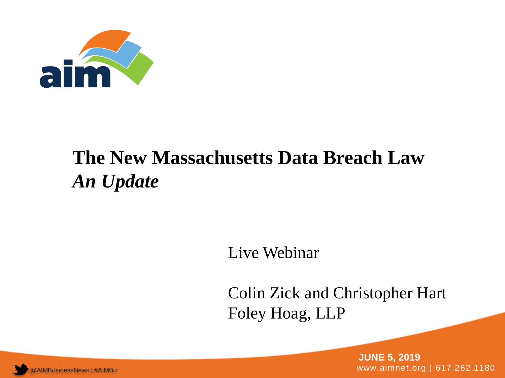

#### **The New Massachusetts Data Breach Law** *An Update*

Live Webinar

Colin Zick and Christopher Hart Foley Hoag, LLP

AIMBusinessNews | #AIMBiz www.aimnet.org | 617.262.1180 **JUNE 5, 2019**

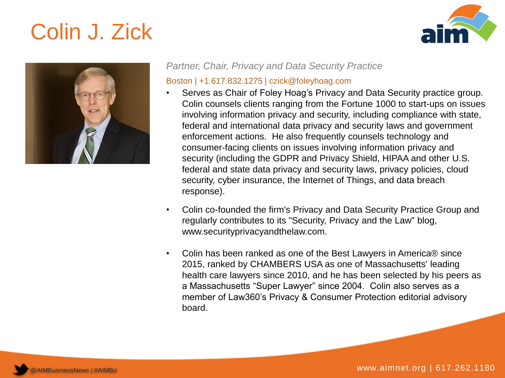## Colin J. Zick





*Partner, Chair, Privacy and Data Security Practice*

#### Boston | +1.617.832.1275 | czick@foleyhoag.com

- Serves as Chair of Foley Hoag's Privacy and Data Security practice group. Colin counsels clients ranging from the Fortune 1000 to start-ups on issues involving information privacy and security, including compliance with state, federal and international data privacy and security laws and government enforcement actions. He also frequently counsels technology and consumer-facing clients on issues involving information privacy and security (including the GDPR and Privacy Shield, HIPAA and other U.S. federal and state data privacy and security laws, privacy policies, cloud security, cyber insurance, the Internet of Things, and data breach response).
- Colin co-founded the firm's Privacy and Data Security Practice Group and regularly contributes to its "Security, Privacy and the Law" blog, www.securityprivacyandthelaw.com.
- Colin has been ranked as one of the Best Lawyers in America® since 2015, ranked by CHAMBERS USA as one of Massachusetts' leading health care lawyers since 2010, and he has been selected by his peers as a Massachusetts "Super Lawyer" since 2004. Colin also serves as a member of Law360's Privacy & Consumer Protection editorial advisory board.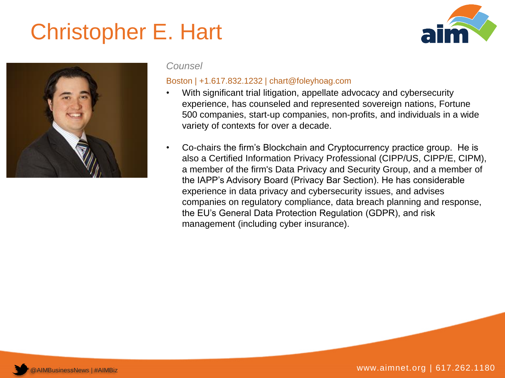## Christopher E. Hart





#### *Counsel*

#### Boston | +1.617.832.1232 | chart@foleyhoag.com

- With significant trial litigation, appellate advocacy and cybersecurity experience, has counseled and represented sovereign nations, Fortune 500 companies, start-up companies, non-profits, and individuals in a wide variety of contexts for over a decade.
- Co-chairs the firm's Blockchain and Cryptocurrency practice group. He is also a Certified Information Privacy Professional (CIPP/US, CIPP/E, CIPM), a member of the firm's Data Privacy and Security Group, and a member of the IAPP's Advisory Board (Privacy Bar Section). He has considerable experience in data privacy and cybersecurity issues, and advises companies on regulatory compliance, data breach planning and response, the EU's General Data Protection Regulation (GDPR), and risk management (including cyber insurance).

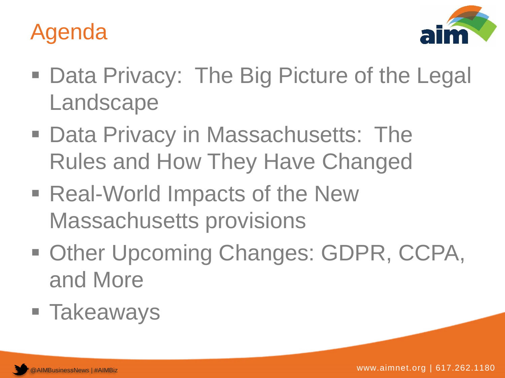



- Data Privacy: The Big Picture of the Legal Landscape
- Data Privacy in Massachusetts: The Rules and How They Have Changed
- Real-World Impacts of the New Massachusetts provisions
- **Other Upcoming Changes: GDPR, CCPA,** and More
- Takeaways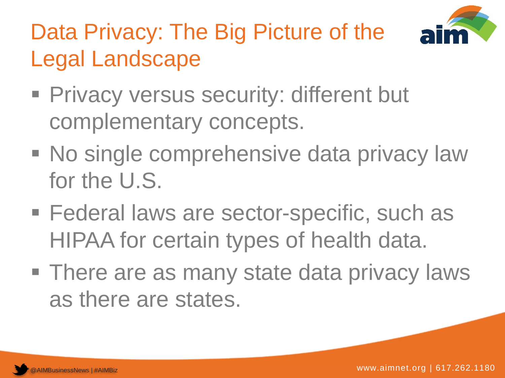

# Data Privacy: The Big Picture of the Legal Landscape

- **Privacy versus security: different but** complementary concepts.
- **No single comprehensive data privacy law** for the U.S.
- **Federal laws are sector-specific, such as** HIPAA for certain types of health data.
- **There are as many state data privacy laws** as there are states.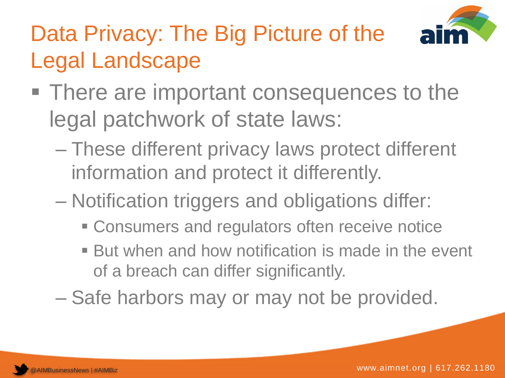

# Data Privacy: The Big Picture of the Legal Landscape

- There are important consequences to the legal patchwork of state laws:
	- These different privacy laws protect different information and protect it differently.
	- Notification triggers and obligations differ:
		- **EX Consumers and regulators often receive notice**
		- But when and how notification is made in the event of a breach can differ significantly.
	- Safe harbors may or may not be provided.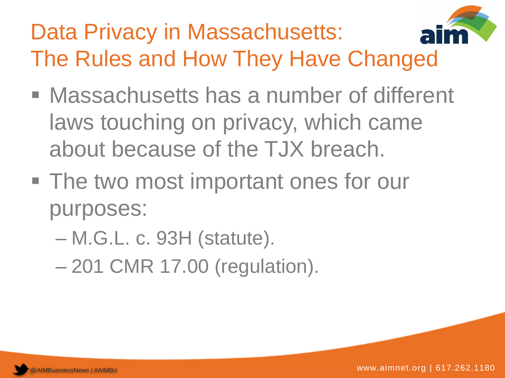## Data Privacy in Massachusetts: The Rules and How They Have Changed

- Massachusetts has a number of different laws touching on privacy, which came about because of the TJX breach.
- The two most important ones for our purposes:
	- M.G.L. c. 93H (statute).
	- 201 CMR 17.00 (regulation).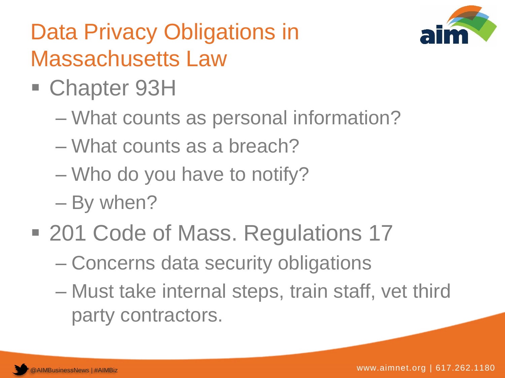

## Data Privacy Obligations in Massachusetts Law

- Chapter 93H
	- What counts as personal information?
	- What counts as a breach?
	- Who do you have to notify?
	- By when?
- 201 Code of Mass. Regulations 17
	- Concerns data security obligations
	- Must take internal steps, train staff, vet third party contractors.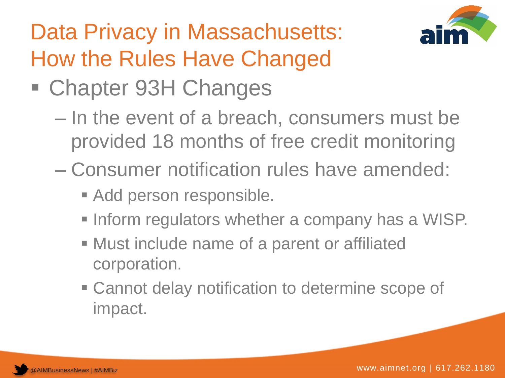

## Data Privacy in Massachusetts: How the Rules Have Changed

- Chapter 93H Changes
	- In the event of a breach, consumers must be provided 18 months of free credit monitoring
	- Consumer notification rules have amended:
		- Add person responsible.
		- **Inform regulators whether a company has a WISP.**
		- Must include name of a parent or affiliated corporation.
		- Cannot delay notification to determine scope of impact.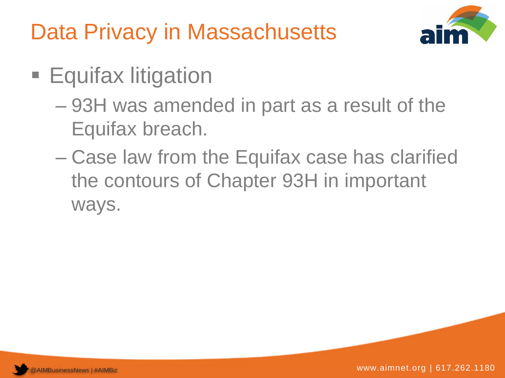Data Privacy in Massachusetts



- **Equifax litigation** 
	- 93H was amended in part as a result of the Equifax breach.
	- Case law from the Equifax case has clarified the contours of Chapter 93H in important ways.

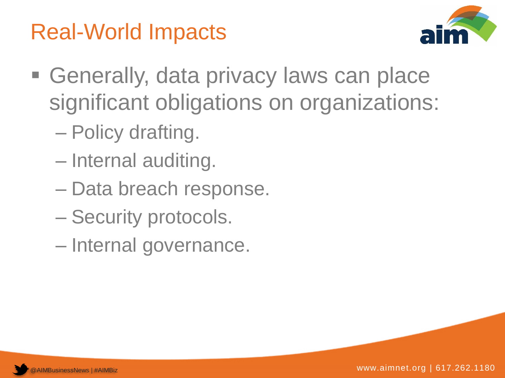## Real-World Impacts



- **Generally, data privacy laws can place** significant obligations on organizations:
	- Policy drafting.
	- Internal auditing.
	- Data breach response.
	- Security protocols.
	- Internal governance.

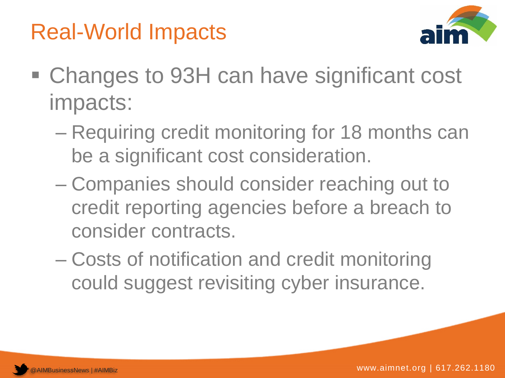



- Changes to 93H can have significant cost impacts:
	- Requiring credit monitoring for 18 months can be a significant cost consideration.
	- Companies should consider reaching out to credit reporting agencies before a breach to consider contracts.
	- Costs of notification and credit monitoring could suggest revisiting cyber insurance.

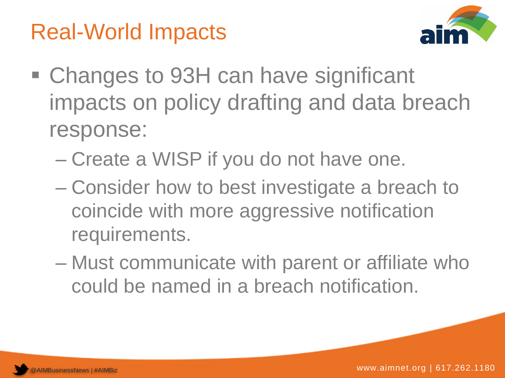## Real-World Impacts



- Changes to 93H can have significant impacts on policy drafting and data breach response:
	- Create a WISP if you do not have one.
	- Consider how to best investigate a breach to coincide with more aggressive notification requirements.
	- Must communicate with parent or affiliate who could be named in a breach notification.

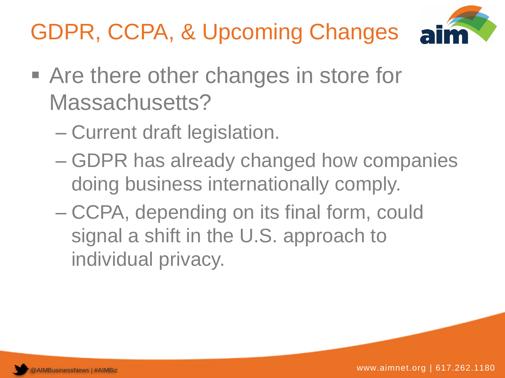# GDPR, CCPA, & Upcoming Changes



- Are there other changes in store for Massachusetts?
	- Current draft legislation.
	- GDPR has already changed how companies doing business internationally comply.
	- CCPA, depending on its final form, could signal a shift in the U.S. approach to individual privacy.

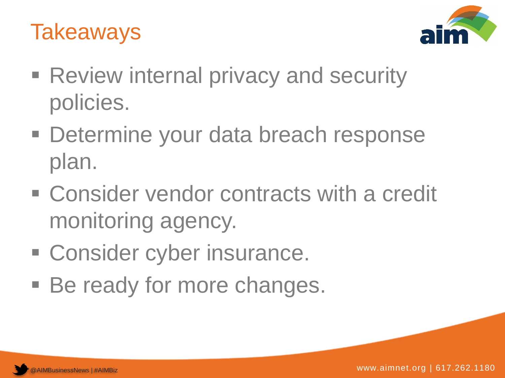



- **Review internal privacy and security** policies.
- Determine your data breach response plan.
- Consider vendor contracts with a credit monitoring agency.
- **Example 2** Consider cyber insurance.
- Be ready for more changes.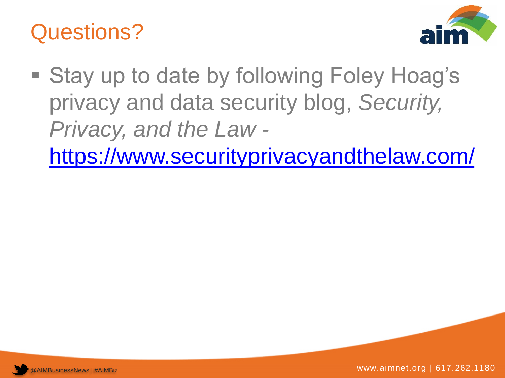### Questions?



- Stay up to date by following Foley Hoag's privacy and data security blog, *Security, Privacy, and the Law* 
	- <https://www.securityprivacyandthelaw.com/>